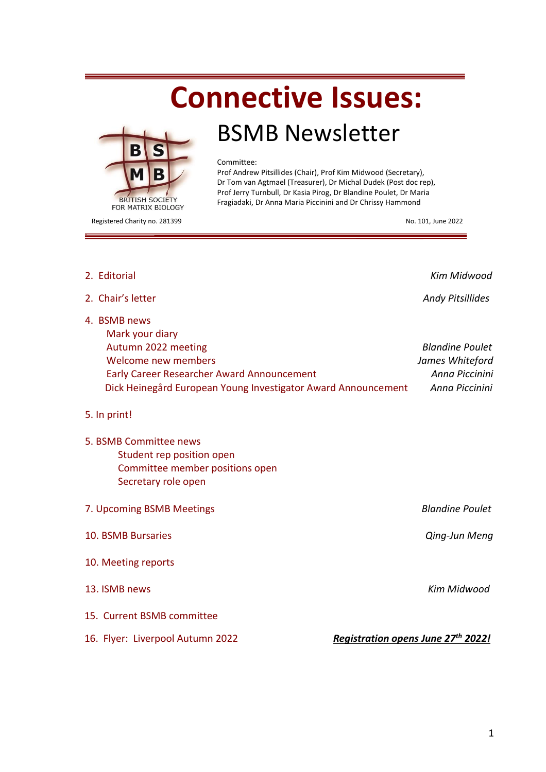# **Connective Issues:**



# BSMB Newsletter

#### Committee:

Prof Andrew Pitsillides (Chair), Prof Kim Midwood (Secretary), Dr Tom van Agtmael (Treasurer), Dr Michal Dudek (Post doc rep), Prof Jerry Turnbull, Dr Kasia Pirog, Dr Blandine Poulet, Dr Maria Fragiadaki, Dr Anna Maria Piccinini and Dr Chrissy Hammond

Registered Charity no. 281399 No. 101, June 2022

| 2. Editorial                                                                                                                                                                                 | Kim Midwood                                                                   |
|----------------------------------------------------------------------------------------------------------------------------------------------------------------------------------------------|-------------------------------------------------------------------------------|
| 2. Chair's letter                                                                                                                                                                            | <b>Andy Pitsillides</b>                                                       |
| 4. BSMB news<br>Mark your diary<br>Autumn 2022 meeting<br>Welcome new members<br>Early Career Researcher Award Announcement<br>Dick Heinegård European Young Investigator Award Announcement | <b>Blandine Poulet</b><br>James Whiteford<br>Anna Piccinini<br>Anna Piccinini |
| 5. In print!                                                                                                                                                                                 |                                                                               |
| 5. BSMB Committee news<br>Student rep position open<br>Committee member positions open<br>Secretary role open                                                                                |                                                                               |
| 7. Upcoming BSMB Meetings                                                                                                                                                                    | <b>Blandine Poulet</b>                                                        |
| 10. BSMB Bursaries                                                                                                                                                                           | Qing-Jun Meng                                                                 |
| 10. Meeting reports                                                                                                                                                                          |                                                                               |
| 13. ISMB news                                                                                                                                                                                | <b>Kim Midwood</b>                                                            |
| 15. Current BSMB committee                                                                                                                                                                   |                                                                               |
| Registration opens June 27 <sup>th</sup> 2022!<br>16. Flyer: Liverpool Autumn 2022                                                                                                           |                                                                               |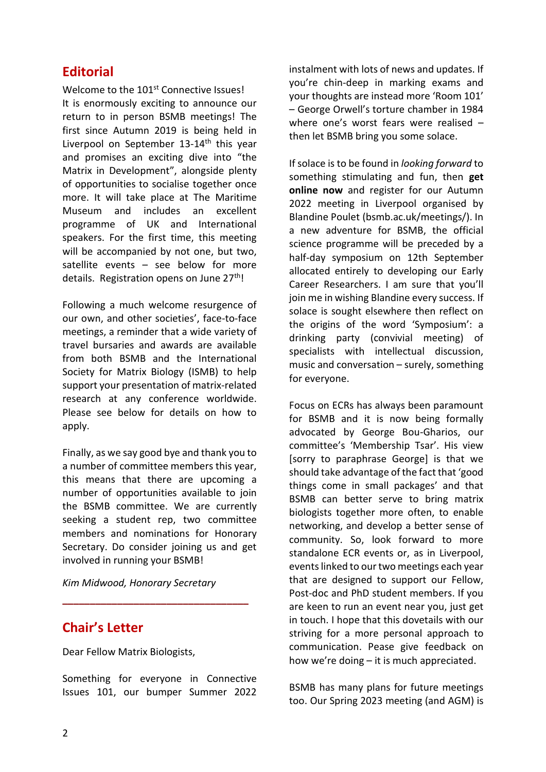## **Editorial**

Welcome to the 101<sup>st</sup> Connective Issues! It is enormously exciting to announce our return to in person BSMB meetings! The first since Autumn 2019 is being held in Liverpool on September 13-14<sup>th</sup> this year and promises an exciting dive into "the Matrix in Development", alongside plenty of opportunities to socialise together once more. It will take place at The Maritime Museum and includes an excellent programme of UK and International speakers. For the first time, this meeting will be accompanied by not one, but two, satellite events – see below for more details. Registration opens on June 27<sup>th</sup>!

Following a much welcome resurgence of our own, and other societies', face-to-face meetings, a reminder that a wide variety of travel bursaries and awards are available from both BSMB and the International Society for Matrix Biology (ISMB) to help support your presentation of matrix-related research at any conference worldwide. Please see below for details on how to apply.

Finally, as we say good bye and thank you to a number of committee members this year, this means that there are upcoming a number of opportunities available to join the BSMB committee. We are currently seeking a student rep, two committee members and nominations for Honorary Secretary. Do consider joining us and get involved in running your BSMB!

*Kim Midwood, Honorary Secretary*

**\_\_\_\_\_\_\_\_\_\_\_\_\_\_\_\_\_\_\_\_\_\_\_\_\_\_\_\_\_\_\_\_\_\_**

## **Chair's Letter**

Dear Fellow Matrix Biologists,

Something for everyone in Connective Issues 101, our bumper Summer 2022

instalment with lots of news and updates. If you're chin-deep in marking exams and your thoughts are instead more 'Room 101' – George Orwell's torture chamber in 1984 where one's worst fears were realised – then let BSMB bring you some solace.

If solace is to be found in *looking forward* to something stimulating and fun, then **get online now** and register for our Autumn 2022 meeting in Liverpool organised by Blandine Poulet (bsmb.ac.uk/meetings/). In a new adventure for BSMB, the official science programme will be preceded by a half-day symposium on 12th September allocated entirely to developing our Early Career Researchers. I am sure that you'll join me in wishing Blandine every success. If solace is sought elsewhere then reflect on the origins of the word 'Symposium': a drinking party (convivial meeting) of specialists with intellectual discussion, music and conversation – surely, something for everyone.

Focus on ECRs has always been paramount for BSMB and it is now being formally advocated by George Bou-Gharios, our committee's 'Membership Tsar'. His view [sorry to paraphrase George] is that we should take advantage of the fact that 'good things come in small packages' and that BSMB can better serve to bring matrix biologists together more often, to enable networking, and develop a better sense of community. So, look forward to more standalone ECR events or, as in Liverpool, events linked to our two meetings each year that are designed to support our Fellow, Post-doc and PhD student members. If you are keen to run an event near you, just get in touch. I hope that this dovetails with our striving for a more personal approach to communication. Pease give feedback on how we're doing – it is much appreciated.

BSMB has many plans for future meetings too. Our Spring 2023 meeting (and AGM) is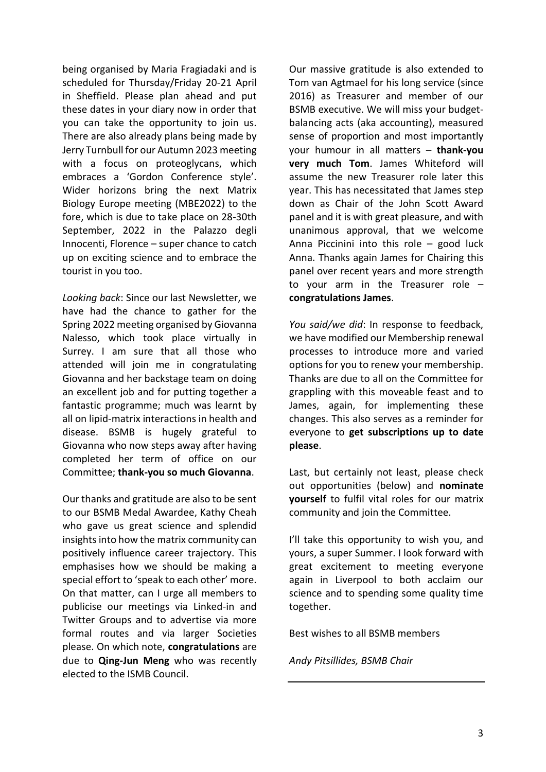being organised by Maria Fragiadaki and is scheduled for Thursday/Friday 20-21 April in Sheffield. Please plan ahead and put these dates in your diary now in order that you can take the opportunity to join us. There are also already plans being made by Jerry Turnbull for our Autumn 2023 meeting with a focus on proteoglycans, which embraces a 'Gordon Conference style'. Wider horizons bring the next Matrix Biology Europe meeting (MBE2022) to the fore, which is due to take place on 28-30th September, 2022 in the Palazzo degli Innocenti, Florence – super chance to catch up on exciting science and to embrace the tourist in you too.

*Looking back*: Since our last Newsletter, we have had the chance to gather for the Spring 2022 meeting organised by Giovanna Nalesso, which took place virtually in Surrey. I am sure that all those who attended will join me in congratulating Giovanna and her backstage team on doing an excellent job and for putting together a fantastic programme; much was learnt by all on lipid-matrix interactions in health and disease. BSMB is hugely grateful to Giovanna who now steps away after having completed her term of office on our Committee; **thank-you so much Giovanna**.

Our thanks and gratitude are also to be sent to our BSMB Medal Awardee, Kathy Cheah who gave us great science and splendid insights into how the matrix community can positively influence career trajectory. This emphasises how we should be making a special effort to 'speak to each other' more. On that matter, can I urge all members to publicise our meetings via Linked-in and Twitter Groups and to advertise via more formal routes and via larger Societies please. On which note, **congratulations** are due to **Qing-Jun Meng** who was recently elected to the ISMB Council.

Our massive gratitude is also extended to Tom van Agtmael for his long service (since 2016) as Treasurer and member of our BSMB executive. We will miss your budgetbalancing acts (aka accounting), measured sense of proportion and most importantly your humour in all matters – **thank-you very much Tom**. James Whiteford will assume the new Treasurer role later this year. This has necessitated that James step down as Chair of the John Scott Award panel and it is with great pleasure, and with unanimous approval, that we welcome Anna Piccinini into this role – good luck Anna. Thanks again James for Chairing this panel over recent years and more strength to your arm in the Treasurer role – **congratulations James**.

*You said/we did*: In response to feedback, we have modified our Membership renewal processes to introduce more and varied options for you to renew your membership. Thanks are due to all on the Committee for grappling with this moveable feast and to James, again, for implementing these changes. This also serves as a reminder for everyone to **get subscriptions up to date please**.

Last, but certainly not least, please check out opportunities (below) and **nominate yourself** to fulfil vital roles for our matrix community and join the Committee.

I'll take this opportunity to wish you, and yours, a super Summer. I look forward with great excitement to meeting everyone again in Liverpool to both acclaim our science and to spending some quality time together.

Best wishes to all BSMB members

*Andy Pitsillides, BSMB Chair*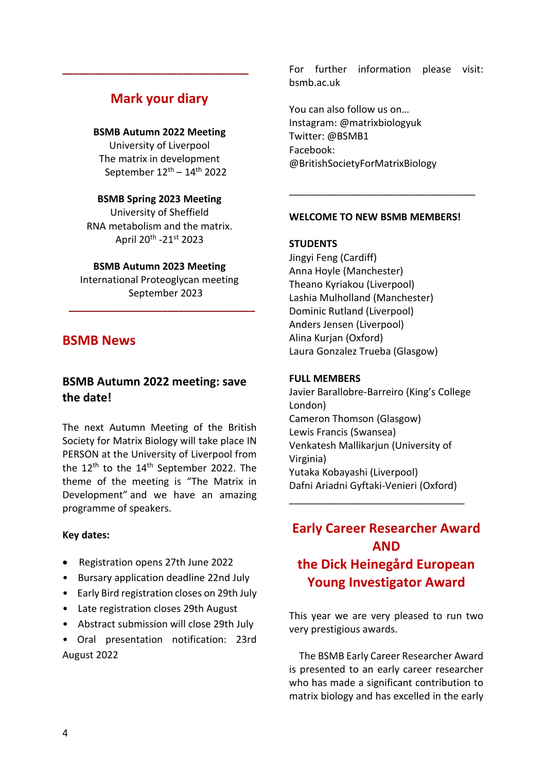## **Mark your diary**

**\_\_\_\_\_\_\_\_\_\_\_\_\_\_\_\_\_\_\_\_\_\_\_\_\_\_\_\_\_\_\_\_\_\_**

#### **BSMB Autumn 2022 Meeting**

University of Liverpool The matrix in development September  $12^{\text{th}} - 14^{\text{th}}$  2022

#### **BSMB Spring 2023 Meeting**

University of Sheffield RNA metabolism and the matrix. April 20<sup>th</sup> -21<sup>st</sup> 2023

#### **BSMB Autumn 2023 Meeting**

International Proteoglycan meeting September 2023

**\_\_\_\_\_\_\_\_\_\_\_\_\_\_\_\_\_\_\_\_\_\_\_\_\_\_\_\_\_\_\_\_\_\_**

## **BSMB News**

## **BSMB Autumn 2022 meeting: save the date!**

The next Autumn Meeting of the British Society for Matrix Biology will take place IN PERSON at the University of Liverpool from the  $12^{\text{th}}$  to the  $14^{\text{th}}$  September 2022. The theme of the meeting is "The Matrix in Development" and we have an amazing programme of speakers.

#### **Key dates:**

- Registration opens 27th June 2022
- Bursary application deadline 22nd July
- Early Bird registration closes on 29th July
- Late registration closes 29th August
- Abstract submission will close 29th July

• Oral presentation notification: 23rd August 2022

For further information please visit: bsmb.ac.uk

You can also follow us on… Instagram: @matrixbiologyuk Twitter: @BSMB1 Facebook: @BritishSocietyForMatrixBiology

#### **WELCOME TO NEW BSMB MEMBERS!**

\_\_\_\_\_\_\_\_\_\_\_\_\_\_\_\_\_\_\_\_\_\_\_\_\_\_\_\_\_\_\_\_\_\_

#### **STUDENTS**

Jingyi Feng (Cardiff) Anna Hoyle (Manchester) Theano Kyriakou (Liverpool) Lashia Mulholland (Manchester) Dominic Rutland (Liverpool) Anders Jensen (Liverpool) Alina Kurjan (Oxford) Laura Gonzalez Trueba (Glasgow)

#### **FULL MEMBERS**

Javier Barallobre-Barreiro (King's College London) Cameron Thomson (Glasgow) Lewis Francis (Swansea) Venkatesh Mallikarjun (University of Virginia) Yutaka Kobayashi (Liverpool) Dafni Ariadni Gyftaki-Venieri (Oxford)

\_\_\_\_\_\_\_\_\_\_\_\_\_\_\_\_\_\_\_\_\_\_\_\_\_\_\_\_\_\_\_\_

## **Early Career Researcher Award AND the Dick Heinegård European Young Investigator Award**

This year we are very pleased to run two very prestigious awards.

 The BSMB Early Career Researcher Award is presented to an early career researcher who has made a significant contribution to matrix biology and has excelled in the early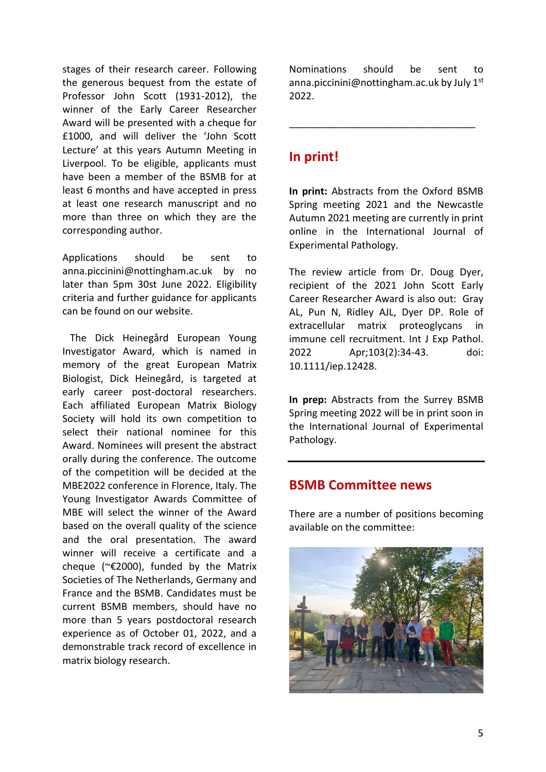stages of their research career. Following the generous bequest from the estate of Professor John Scott (1931-2012), the winner of the Early Career Researcher Award will be presented with a cheque for £1000, and will deliver the 'John Scott Lecture' at this years Autumn Meeting in Liverpool. To be eligible, applicants must have been a member of the BSMB for at least 6 months and have accepted in press at least one research manuscript and no more than three on which they are the corresponding author.

Applications should be sent to anna.piccinini@nottingham.ac.uk by no later than 5pm 30st June 2022. Eligibility criteria and further guidance for applicants can be found on our website.

 The Dick Heinegård European Young Investigator Award, which is named in memory of the great European Matrix Biologist, Dick Heinegård, is targeted at early career post-doctoral researchers. Each affiliated European Matrix Biology Society will hold its own competition to select their national nominee for this Award. Nominees will present the abstract orally during the conference. The outcome of the competition will be decided at the MBE2022 conference in Florence, Italy. The Young Investigator Awards Committee of MBE will select the winner of the Award based on the overall quality of the science and the oral presentation. The award winner will receive a certificate and a cheque (~€2000), funded by the Matrix Societies of The Netherlands, Germany and France and the BSMB. Candidates must be current BSMB members, should have no more than 5 years postdoctoral research experience as of October 01, 2022, and a demonstrable track record of excellence in matrix biology research.

Nominations should be sent to anna.piccinini@nottingham.ac.uk by July 1<sup>st</sup> 2022.

\_\_\_\_\_\_\_\_\_\_\_\_\_\_\_\_\_\_\_\_\_\_\_\_\_\_\_\_\_\_\_\_\_\_

## **In print!**

**In print:** Abstracts from the Oxford BSMB Spring meeting 2021 and the Newcastle Autumn 2021 meeting are currently in print online in the International Journal of Experimental Pathology.

The review article from Dr. Doug Dyer, recipient of the 2021 John Scott Early Career Researcher Award is also out: Gray AL, Pun N, Ridley AJL, Dyer DP. Role of extracellular matrix proteoglycans in immune cell recruitment. Int J Exp Pathol. 2022 Apr;103(2):34-43. doi: 10.1111/iep.12428.

**In prep:** Abstracts from the Surrey BSMB Spring meeting 2022 will be in print soon in the International Journal of Experimental Pathology.

### **BSMB Committee news**

There are a number of positions becoming available on the committee:

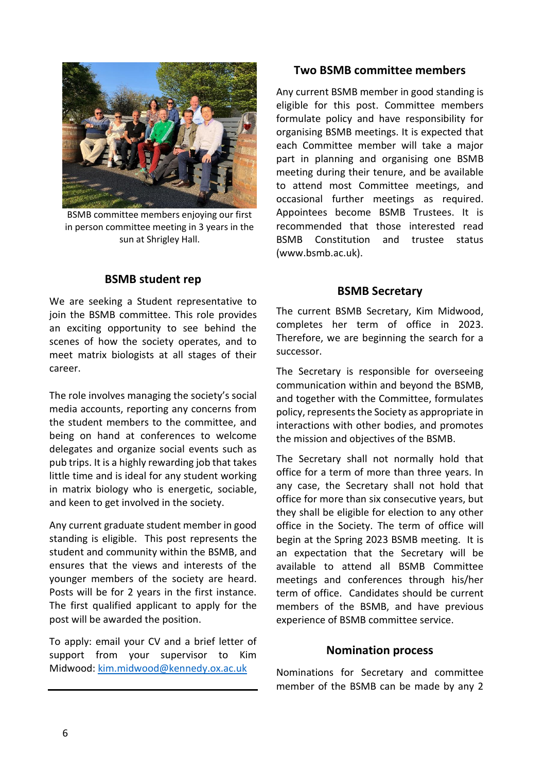

BSMB committee members enjoying our first in person committee meeting in 3 years in the sun at Shrigley Hall.

#### **BSMB student rep**

We are seeking a Student representative to join the BSMB committee. This role provides an exciting opportunity to see behind the scenes of how the society operates, and to meet matrix biologists at all stages of their career.

The role involves managing the society's social media accounts, reporting any concerns from the student members to the committee, and being on hand at conferences to welcome delegates and organize social events such as pub trips. It is a highly rewarding job that takes little time and is ideal for any student working in matrix biology who is energetic, sociable, and keen to get involved in the society.

Any current graduate student member in good standing is eligible. This post represents the student and community within the BSMB, and ensures that the views and interests of the younger members of the society are heard. Posts will be for 2 years in the first instance. The first qualified applicant to apply for the post will be awarded the position.

To apply: email your CV and a brief letter of support from your supervisor to Kim Midwood: [kim.midwood@kennedy.ox.ac.uk](mailto:kim.midwood@kennedy.ox.ac.uk)

#### **Two BSMB committee members**

Any current BSMB member in good standing is eligible for this post. Committee members formulate policy and have responsibility for organising BSMB meetings. It is expected that each Committee member will take a major part in planning and organising one BSMB meeting during their tenure, and be available to attend most Committee meetings, and occasional further meetings as required. Appointees become BSMB Trustees. It is recommended that those interested read BSMB Constitution and trustee status (www.bsmb.ac.uk).

#### **BSMB Secretary**

The current BSMB Secretary, Kim Midwood, completes her term of office in 2023. Therefore, we are beginning the search for a successor.

The Secretary is responsible for overseeing communication within and beyond the BSMB, and together with the Committee, formulates policy, represents the Society as appropriate in interactions with other bodies, and promotes the mission and objectives of the BSMB.

The Secretary shall not normally hold that office for a term of more than three years. In any case, the Secretary shall not hold that office for more than six consecutive years, but they shall be eligible for election to any other office in the Society. The term of office will begin at the Spring 2023 BSMB meeting. It is an expectation that the Secretary will be available to attend all BSMB Committee meetings and conferences through his/her term of office. Candidates should be current members of the BSMB, and have previous experience of BSMB committee service.

#### **Nomination process**

Nominations for Secretary and committee member of the BSMB can be made by any 2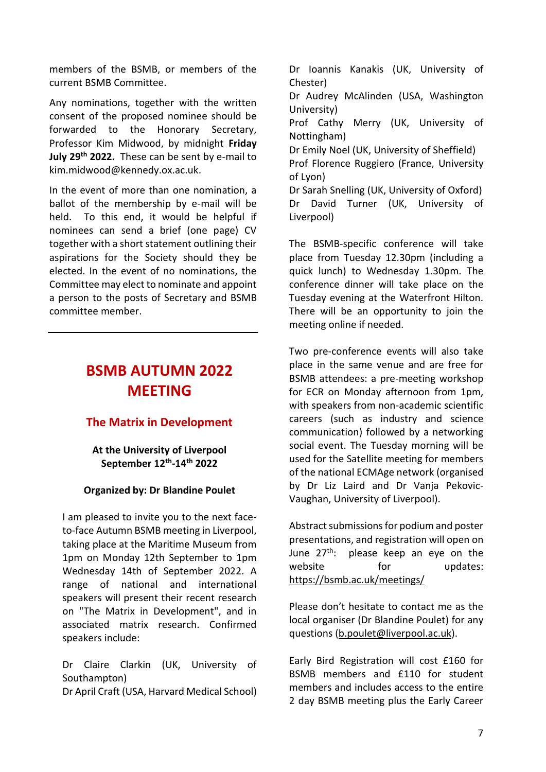members of the BSMB, or members of the current BSMB Committee.

Any nominations, together with the written consent of the proposed nominee should be forwarded to the Honorary Secretary, Professor Kim Midwood, by midnight **Friday July 29th 2022.** These can be sent by e-mail to [kim.midwood@kennedy.ox.ac.uk.](mailto:kim.midwood@kennedy.ox.ac.uk)

In the event of more than one nomination, a ballot of the membership by e-mail will be held. To this end, it would be helpful if nominees can send a brief (one page) CV together with a short statement outlining their aspirations for the Society should they be elected. In the event of no nominations, the Committee may elect to nominate and appoint a person to the posts of Secretary and BSMB committee member.

## **BSMB AUTUMN 2022 MEETING**

### **The Matrix in Development**

#### **At the University of Liverpool September 12th -14th 2022**

#### **Organized by: Dr Blandine Poulet**

I am pleased to invite you to the next faceto-face Autumn BSMB meeting in Liverpool, taking place at the Maritime Museum from 1pm on Monday 12th September to 1pm Wednesday 14th of September 2022. A range of national and international speakers will present their recent research on "The Matrix in Development", and in associated matrix research. Confirmed speakers include:

Dr Claire Clarkin (UK, University of Southampton) Dr April Craft (USA, Harvard Medical School)

Dr Ioannis Kanakis (UK, University of Chester)

Dr Audrey McAlinden (USA, Washington University)

Prof Cathy Merry (UK, University of Nottingham)

Dr Emily Noel (UK, University of Sheffield)

Prof Florence Ruggiero (France, University of Lyon)

Dr Sarah Snelling (UK, University of Oxford) Dr David Turner (UK, University of Liverpool)

The BSMB-specific conference will take place from Tuesday 12.30pm (including a quick lunch) to Wednesday 1.30pm. The conference dinner will take place on the Tuesday evening at the Waterfront Hilton. There will be an opportunity to join the meeting online if needed.

Two pre-conference events will also take place in the same venue and are free for BSMB attendees: a pre-meeting workshop for ECR on Monday afternoon from 1pm, with speakers from non-academic scientific careers (such as industry and science communication) followed by a networking social event. The Tuesday morning will be used for the Satellite meeting for members of the national ECMAge network (organised by Dr Liz Laird and Dr Vanja Pekovic-Vaughan, University of Liverpool).

Abstract submissions for podium and poster presentations, and registration will open on June 27<sup>th</sup>: please keep an eye on the website for updates: <https://bsmb.ac.uk/meetings/>

Please don't hesitate to contact me as the local organiser (Dr Blandine Poulet) for any questions [\(b.poulet@liverpool.ac.uk\)](mailto:b.poulet@liverpool.ac.uk).

Early Bird Registration will cost £160 for BSMB members and £110 for student members and includes access to the entire 2 day BSMB meeting plus the Early Career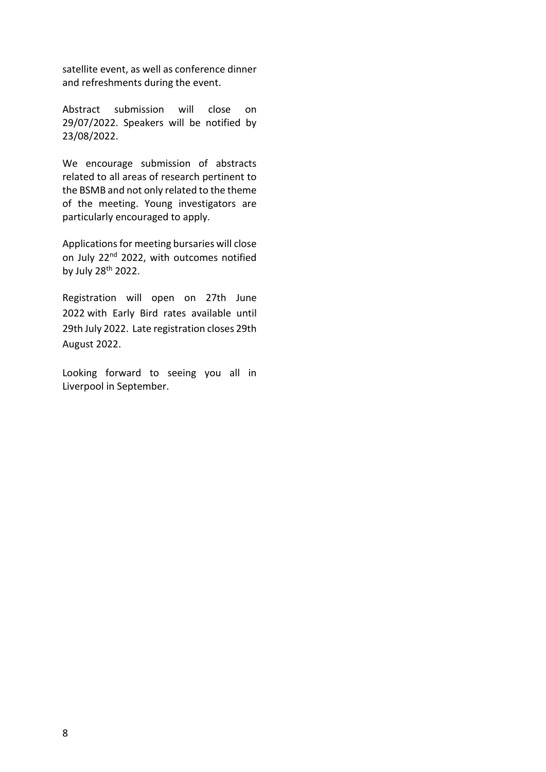satellite event, as well as conference dinner and refreshments during the event.

Abstract submission will close on 29/07/2022. Speakers will be notified by 23/08/2022.

We encourage submission of abstracts related to all areas of research pertinent to the BSMB and not only related to the theme of the meeting. Young investigators are particularly encouraged to apply.

Applications for meeting bursaries will close on July 22<sup>nd</sup> 2022, with outcomes notified by July 28th 2022.

Registration will open on 27th June 2022 with Early Bird rates available until 29th July 2022. Late registration closes 29th August 2022.

Looking forward to seeing you all in Liverpool in September.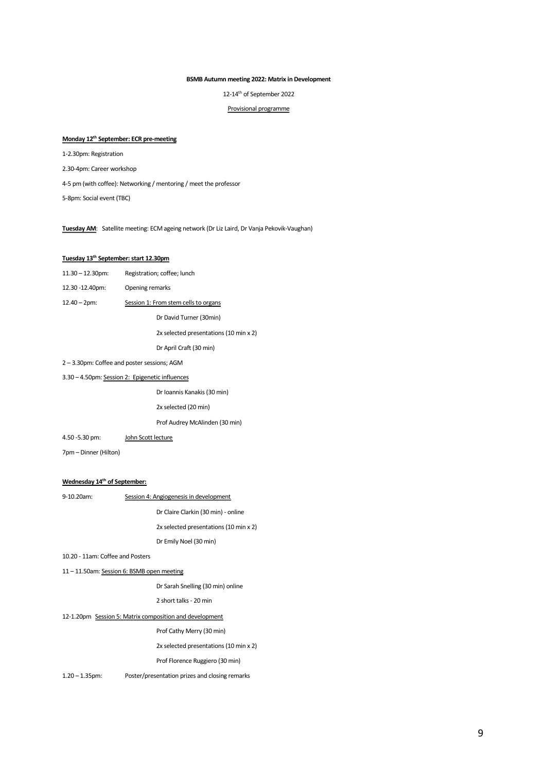#### **BSMB Autumn meeting 2022: Matrix in Development**

12-14 th of September <sup>2022</sup>

Provisional programme

#### **Monday 12 th September: ECR pre-meeting**

1-2.30pm: Registration

2.30-4pm: Career workshop

4-5 pm (with coffee): Networking / mentoring / meet the professor

5-8pm: Social event (TBC)

**Tuesday AM**: Satellite meeting: ECM ageing network (Dr Liz Laird, Dr Vanja Pekovik-Vaughan)

#### **Tuesday 13 th September: start 12.30pm**

| $11.30 - 12.30$ pm: | Registration; coffee; lunch            |  |
|---------------------|----------------------------------------|--|
| 12.30 -12.40pm:     | Opening remarks                        |  |
| $12.40 - 2pm:$      | Session 1: From stem cells to organs   |  |
|                     | Dr David Turner (30min)                |  |
|                     | 2x selected presentations (10 min x 2) |  |
|                     | Dr April Craft (30 min)                |  |

2 – 3.30pm: Coffee and poster sessions; AGM

#### 3.30 – 4.50pm: Session 2: Epigenetic influences

Dr Ioannis Kanakis(30 min)

2x selected (20 min)

Prof Audrey McAlinden (30 min)

4.50 -5.30 pm: John Scott lecture

7pm – Dinner (Hilton)

#### **Wednesday 14 th of September:**

| 9-10.20am:                                              | Session 4: Angiogenesis in development         |  |
|---------------------------------------------------------|------------------------------------------------|--|
|                                                         | Dr Claire Clarkin (30 min) - online            |  |
|                                                         | 2x selected presentations (10 min x 2)         |  |
|                                                         | Dr Emily Noel (30 min)                         |  |
| 10.20 - 11am: Coffee and Posters                        |                                                |  |
| 11-11.50am: Session 6: BSMB open meeting                |                                                |  |
|                                                         | Dr Sarah Snelling (30 min) online              |  |
|                                                         | 2 short talks - 20 min                         |  |
| 12-1.20pm Session 5: Matrix composition and development |                                                |  |
|                                                         | Prof Cathy Merry (30 min)                      |  |
|                                                         | 2x selected presentations (10 min x 2)         |  |
|                                                         | Prof Florence Ruggiero (30 min)                |  |
| $1.20 - 1.35$ pm:                                       | Poster/presentation prizes and closing remarks |  |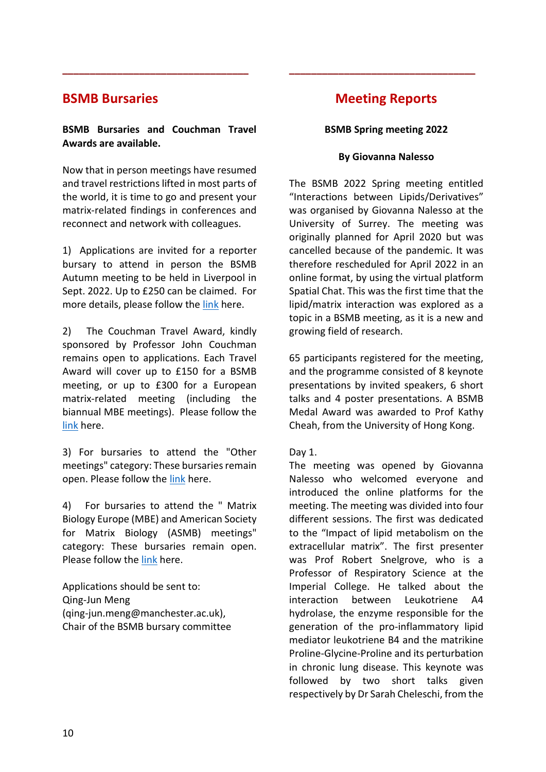## **BSMB Bursaries**

#### **BSMB Bursaries and Couchman Travel Awards are available.**

**\_\_\_\_\_\_\_\_\_\_\_\_\_\_\_\_\_\_\_\_\_\_\_\_\_\_\_\_\_\_\_\_\_\_**

Now that in person meetings have resumed and travel restrictions lifted in most parts of the world, it is time to go and present your matrix-related findings in conferences and reconnect and network with colleagues.

1) Applications are invited for a reporter bursary to attend in person the BSMB Autumn meeting to be held in Liverpool in Sept. 2022. Up to £250 can be claimed. For more details, please follow the [link](https://bsmb.ac.uk/page/reporter-bursaries/) here.

2) The Couchman Travel Award, kindly sponsored by Professor John Couchman remains open to applications. Each Travel Award will cover up to £150 for a BSMB meeting, or up to £300 for a European matrix-related meeting (including the biannual MBE meetings). Please follow the [link](https://bsmb.ac.uk/page/john-couchman-travel-award/) here.

3) For bursaries to attend the "Other meetings" category: These bursaries remain open. Please follow the [link](https://bsmb.ac.uk/page/other-bursaries/) here.

4) For bursaries to attend the " Matrix Biology Europe (MBE) and American Society for Matrix Biology (ASMB) meetings" category: These bursaries remain open. Please follow the [link](https://bsmb.ac.uk/page/mbe-asmb-bursaries/) here.

Applications should be sent to: Qing-Jun Meng (qing-jun.meng@manchester.ac.uk), Chair of the BSMB bursary committee

## **Meeting Reports**

**\_\_\_\_\_\_\_\_\_\_\_\_\_\_\_\_\_\_\_\_\_\_\_\_\_\_\_\_\_\_\_\_\_\_**

#### **BSMB Spring meeting 2022**

#### **By Giovanna Nalesso**

The BSMB 2022 Spring meeting entitled "Interactions between Lipids/Derivatives" was organised by Giovanna Nalesso at the University of Surrey. The meeting was originally planned for April 2020 but was cancelled because of the pandemic. It was therefore rescheduled for April 2022 in an online format, by using the virtual platform Spatial Chat. This was the first time that the lipid/matrix interaction was explored as a topic in a BSMB meeting, as it is a new and growing field of research.

65 participants registered for the meeting, and the programme consisted of 8 keynote presentations by invited speakers, 6 short talks and 4 poster presentations. A BSMB Medal Award was awarded to Prof Kathy Cheah, from the University of Hong Kong.

#### Day 1.

The meeting was opened by Giovanna Nalesso who welcomed everyone and introduced the online platforms for the meeting. The meeting was divided into four different sessions. The first was dedicated to the "Impact of lipid metabolism on the extracellular matrix". The first presenter was Prof Robert Snelgrove, who is a Professor of Respiratory Science at the Imperial College. He talked about the interaction between Leukotriene A4 hydrolase, the enzyme responsible for the generation of the pro-inflammatory lipid mediator leukotriene B4 and the matrikine Proline-Glycine-Proline and its perturbation in chronic lung disease. This keynote was followed by two short talks given respectively by Dr Sarah Cheleschi, from the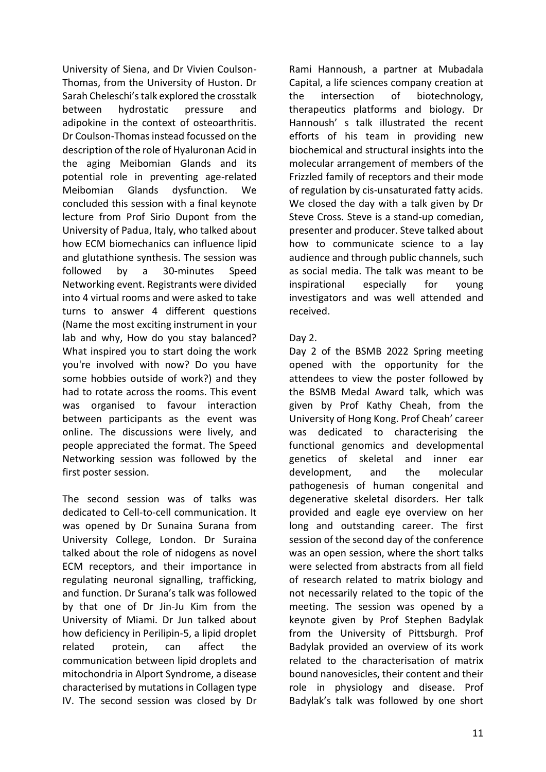University of Siena, and Dr Vivien Coulson-Thomas, from the University of Huston. Dr Sarah Cheleschi's talk explored the crosstalk between hydrostatic pressure and adipokine in the context of osteoarthritis. Dr Coulson-Thomas instead focussed on the description of the role of Hyaluronan Acid in the aging Meibomian Glands and its potential role in preventing age-related Meibomian Glands dysfunction. We concluded this session with a final keynote lecture from Prof Sirio Dupont from the University of Padua, Italy, who talked about how ECM biomechanics can influence lipid and glutathione synthesis. The session was followed by a 30-minutes Speed Networking event. Registrants were divided into 4 virtual rooms and were asked to take turns to answer 4 different questions (Name the most exciting instrument in your lab and why, How do you stay balanced? What inspired you to start doing the work you're involved with now? Do you have some hobbies outside of work?) and they had to rotate across the rooms. This event was organised to favour interaction between participants as the event was online. The discussions were lively, and people appreciated the format. The Speed Networking session was followed by the first poster session.

The second session was of talks was dedicated to Cell-to-cell communication. It was opened by Dr Sunaina Surana from University College, London. Dr Suraina talked about the role of nidogens as novel ECM receptors, and their importance in regulating neuronal signalling, trafficking, and function. Dr Surana's talk was followed by that one of Dr Jin-Ju Kim from the University of Miami. Dr Jun talked about how deficiency in Perilipin-5, a lipid droplet related protein, can affect the communication between lipid droplets and mitochondria in Alport Syndrome, a disease characterised by mutations in Collagen type IV. The second session was closed by Dr Rami Hannoush, a partner at Mubadala Capital, a life sciences company creation at the intersection of biotechnology, therapeutics platforms and biology. Dr Hannoush' s talk illustrated the recent efforts of his team in providing new biochemical and structural insights into the molecular arrangement of members of the Frizzled family of receptors and their mode of regulation by cis-unsaturated fatty acids. We closed the day with a talk given by Dr Steve Cross. Steve is a stand-up comedian, presenter and producer. Steve talked about how to communicate science to a lay audience and through public channels, such as social media. The talk was meant to be inspirational especially for young investigators and was well attended and received.

#### Day 2.

Day 2 of the BSMB 2022 Spring meeting opened with the opportunity for the attendees to view the poster followed by the BSMB Medal Award talk, which was given by Prof Kathy Cheah, from the University of Hong Kong. Prof Cheah' career was dedicated to characterising the functional genomics and developmental genetics of skeletal and inner ear development, and the molecular pathogenesis of human congenital and degenerative skeletal disorders. Her talk provided and eagle eye overview on her long and outstanding career. The first session of the second day of the conference was an open session, where the short talks were selected from abstracts from all field of research related to matrix biology and not necessarily related to the topic of the meeting. The session was opened by a keynote given by Prof Stephen Badylak from the University of Pittsburgh. Prof Badylak provided an overview of its work related to the characterisation of matrix bound nanovesicles, their content and their role in physiology and disease. Prof Badylak's talk was followed by one short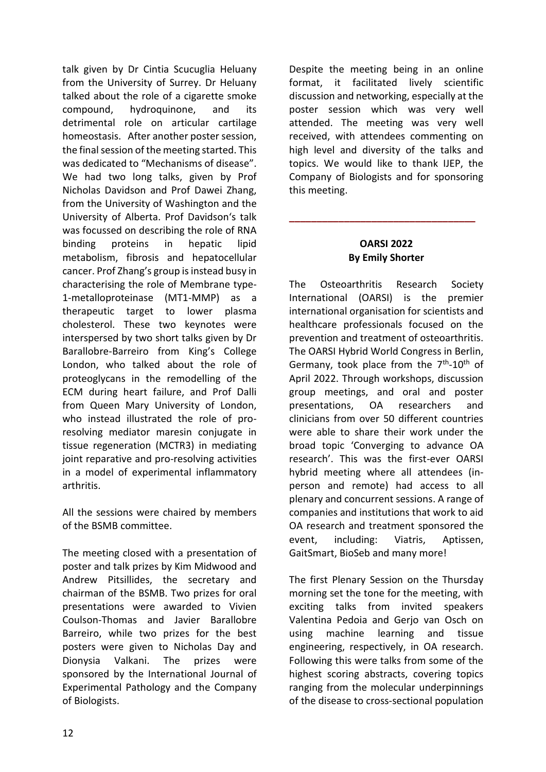talk given by Dr Cintia Scucuglia Heluany from the University of Surrey. Dr Heluany talked about the role of a cigarette smoke compound, hydroquinone, and its detrimental role on articular cartilage homeostasis. After another poster session, the final session of the meeting started. This was dedicated to "Mechanisms of disease". We had two long talks, given by Prof Nicholas Davidson and Prof Dawei Zhang, from the University of Washington and the University of Alberta. Prof Davidson's talk was focussed on describing the role of RNA binding proteins in hepatic lipid metabolism, fibrosis and hepatocellular cancer. Prof Zhang's group is instead busy in characterising the role of Membrane type-1-metalloproteinase (MT1-MMP) as a therapeutic target to lower plasma cholesterol. These two keynotes were interspersed by two short talks given by Dr Barallobre-Barreiro from King's College London, who talked about the role of proteoglycans in the remodelling of the ECM during heart failure, and Prof Dalli from Queen Mary University of London, who instead illustrated the role of proresolving mediator maresin conjugate in tissue regeneration (MCTR3) in mediating joint reparative and pro-resolving activities in a model of experimental inflammatory arthritis.

All the sessions were chaired by members of the BSMB committee.

The meeting closed with a presentation of poster and talk prizes by Kim Midwood and Andrew Pitsillides, the secretary and chairman of the BSMB. Two prizes for oral presentations were awarded to Vivien Coulson-Thomas and Javier Barallobre Barreiro, while two prizes for the best posters were given to Nicholas Day and Dionysia Valkani. The prizes were sponsored by the International Journal of Experimental Pathology and the Company of Biologists.

Despite the meeting being in an online format, it facilitated lively scientific discussion and networking, especially at the poster session which was very well attended. The meeting was very well received, with attendees commenting on high level and diversity of the talks and topics. We would like to thank IJEP, the Company of Biologists and for sponsoring this meeting.

#### **OARSI 2022 By Emily Shorter**

**\_\_\_\_\_\_\_\_\_\_\_\_\_\_\_\_\_\_\_\_\_\_\_\_\_\_\_\_\_\_\_\_\_\_**

The Osteoarthritis Research Society International (OARSI) is the premier international organisation for scientists and healthcare professionals focused on the prevention and treatment of osteoarthritis. The OARSI Hybrid World Congress in Berlin, Germany, took place from the  $7<sup>th</sup>$ -10<sup>th</sup> of April 2022. Through workshops, discussion group meetings, and oral and poster presentations, OA researchers and clinicians from over 50 different countries were able to share their work under the broad topic 'Converging to advance OA research'. This was the first-ever OARSI hybrid meeting where all attendees (inperson and remote) had access to all plenary and concurrent sessions. A range of companies and institutions that work to aid OA research and treatment sponsored the event, including: Viatris, Aptissen, GaitSmart, BioSeb and many more!

The first Plenary Session on the Thursday morning set the tone for the meeting, with exciting talks from invited speakers Valentina Pedoia and Gerjo van Osch on using machine learning and tissue engineering, respectively, in OA research. Following this were talks from some of the highest scoring abstracts, covering topics ranging from the molecular underpinnings of the disease to cross-sectional population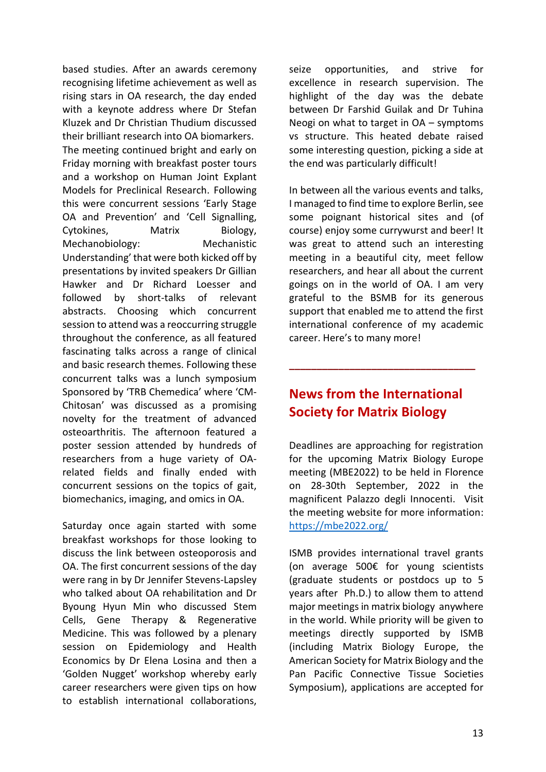based studies. After an awards ceremony recognising lifetime achievement as well as rising stars in OA research, the day ended with a keynote address where Dr Stefan Kluzek and Dr Christian Thudium discussed their brilliant research into OA biomarkers. The meeting continued bright and early on Friday morning with breakfast poster tours and a workshop on Human Joint Explant Models for Preclinical Research. Following this were concurrent sessions 'Early Stage OA and Prevention' and 'Cell Signalling, Cytokines, Matrix Biology, Mechanobiology: Mechanistic Understanding' that were both kicked off by presentations by invited speakers Dr Gillian Hawker and Dr Richard Loesser and followed by short-talks of relevant abstracts. Choosing which concurrent session to attend was a reoccurring struggle throughout the conference, as all featured fascinating talks across a range of clinical and basic research themes. Following these concurrent talks was a lunch symposium Sponsored by 'TRB Chemedica' where 'CM-Chitosan' was discussed as a promising novelty for the treatment of advanced osteoarthritis. The afternoon featured a poster session attended by hundreds of researchers from a huge variety of OArelated fields and finally ended with concurrent sessions on the topics of gait, biomechanics, imaging, and omics in OA.

Saturday once again started with some breakfast workshops for those looking to discuss the link between osteoporosis and OA. The first concurrent sessions of the day were rang in by Dr Jennifer Stevens-Lapsley who talked about OA rehabilitation and Dr Byoung Hyun Min who discussed Stem Cells, Gene Therapy & Regenerative Medicine. This was followed by a plenary session on Epidemiology and Health Economics by Dr Elena Losina and then a 'Golden Nugget' workshop whereby early career researchers were given tips on how to establish international collaborations, seize opportunities, and strive for excellence in research supervision. The highlight of the day was the debate between Dr Farshid Guilak and Dr Tuhina Neogi on what to target in OA – symptoms vs structure. This heated debate raised some interesting question, picking a side at the end was particularly difficult!

In between all the various events and talks, I managed to find time to explore Berlin, see some poignant historical sites and (of course) enjoy some currywurst and beer! It was great to attend such an interesting meeting in a beautiful city, meet fellow researchers, and hear all about the current goings on in the world of OA. I am very grateful to the BSMB for its generous support that enabled me to attend the first international conference of my academic career. Here's to many more!

## **News from the International Society for Matrix Biology**

**\_\_\_\_\_\_\_\_\_\_\_\_\_\_\_\_\_\_\_\_\_\_\_\_\_\_\_\_\_\_\_\_\_\_**

Deadlines are approaching for registration for the upcoming Matrix Biology Europe meeting (MBE2022) to be held in Florence on 28-30th September, 2022 in the magnificent Palazzo degli Innocenti. Visit the meeting website for more information: <https://mbe2022.org/>

ISMB provides international travel grants (on average 500€ for young scientists (graduate students or postdocs up to 5 years after Ph.D.) to allow them to attend major meetings in matrix biology anywhere in the world. While priority will be given to meetings directly supported by ISMB (including Matrix Biology Europe, the American Society for Matrix Biology and the Pan Pacific Connective Tissue Societies Symposium), applications are accepted for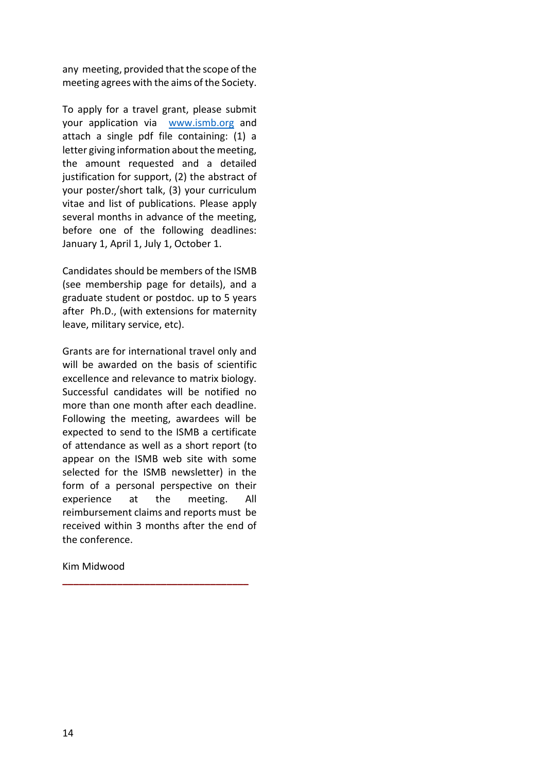any meeting, provided that the scope of the meeting agrees with the aims of the Society.

To apply for a travel grant, please submit your application via [www.ismb.org](http://www.ismb.org/) and attach a single pdf file containing: (1) a letter giving information about the meeting, the amount requested and a detailed justification for support, (2) the abstract of your poster/short talk, (3) your curriculum vitae and list of publications. Please apply several months in advance of the meeting, before one of the following deadlines: January 1, April 1, July 1, October 1.

Candidates should be members of the ISMB (see membership page for details), and a graduate student or postdoc. up to 5 years after Ph.D., (with extensions for maternity leave, military service, etc).

Grants are for international travel only and will be awarded on the basis of scientific excellence and relevance to matrix biology. Successful candidates will be notified no more than one month after each deadline. Following the meeting, awardees will be expected to send to the ISMB a certificate of attendance as well as a short report (to appear on the ISMB web site with some selected for the ISMB newsletter) in the form of a personal perspective on their experience at the meeting. All reimbursement claims and reports must be received within 3 months after the end of the conference.

**\_\_\_\_\_\_\_\_\_\_\_\_\_\_\_\_\_\_\_\_\_\_\_\_\_\_\_\_\_\_\_\_\_\_**

Kim Midwood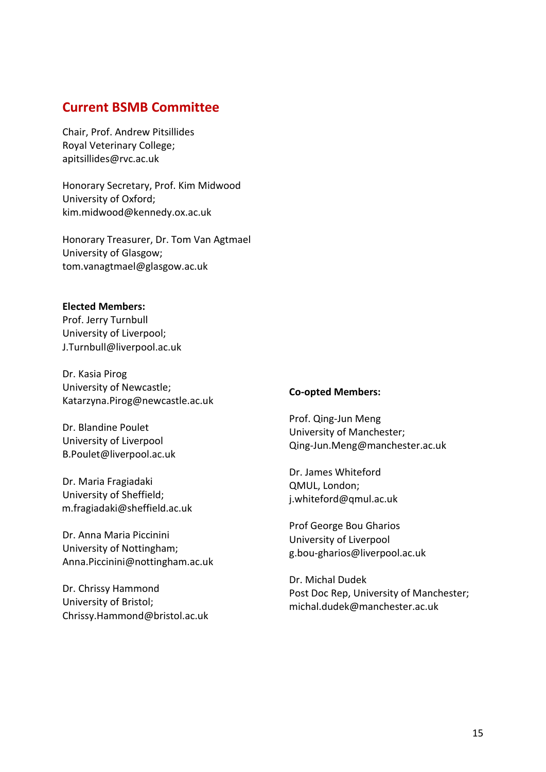## **Current BSMB Committee**

Chair, Prof. Andrew Pitsillides Royal Veterinary College; apitsillides@rvc.ac.uk

Honorary Secretary, Prof. Kim Midwood University of Oxford; [kim.midwood@kennedy.ox.ac.uk](mailto:kim.midwood@kennedy.ox.ac.uk)

Honorary Treasurer, Dr. Tom Van Agtmael University of Glasgow; [tom.vanagtmael@glasgow.ac.uk](mailto:tom.vanagtmael@glasgow.ac.uk)

#### **Elected Members:**

Prof. Jerry Turnbull University of Liverpool; [J.Turnbull@liverpool.ac.uk](mailto:J.Turnbull@liverpool.ac.uk)

Dr. Kasia Pirog University of Newcastle; [Katarzyna.Pirog@newcastle.ac.uk](mailto:Katarzyna.Pirog@newcastle.ac.uk)

Dr. Blandine Poulet University of Liverpool [B.Poulet@liverpool.ac.uk](mailto:B.Poulet@liverpool.ac.uk)

Dr. Maria Fragiadaki University of Sheffield; m.fragiadaki@sheffield.ac.uk

Dr. Anna Maria Piccinini University of Nottingham; [Anna.Piccinini@nottingham.ac.uk](mailto:Anna.Piccinini@nottingham.ac.uk)

Dr. Chrissy Hammond University of Bristol; Chrissy.Hammond@bristol.ac.uk

#### **Co-opted Members:**

Prof. Qing-Jun Meng University of Manchester; [Qing-Jun.Meng@manchester.ac.uk](mailto:Qing-Jun.Meng@manchester.ac.uk)

Dr. James Whiteford QMUL, London; [j.whiteford@qmul.ac.uk](mailto:j.whiteford@qmul.ac.uk)

Prof George Bou Gharios University of Liverpool g.bou-gharios@liverpool.ac.uk

Dr. Michal Dudek Post Doc Rep, University of Manchester; [michal.dudek@manchester.ac.uk](mailto:michal.dudek@manchester.ac.uk)